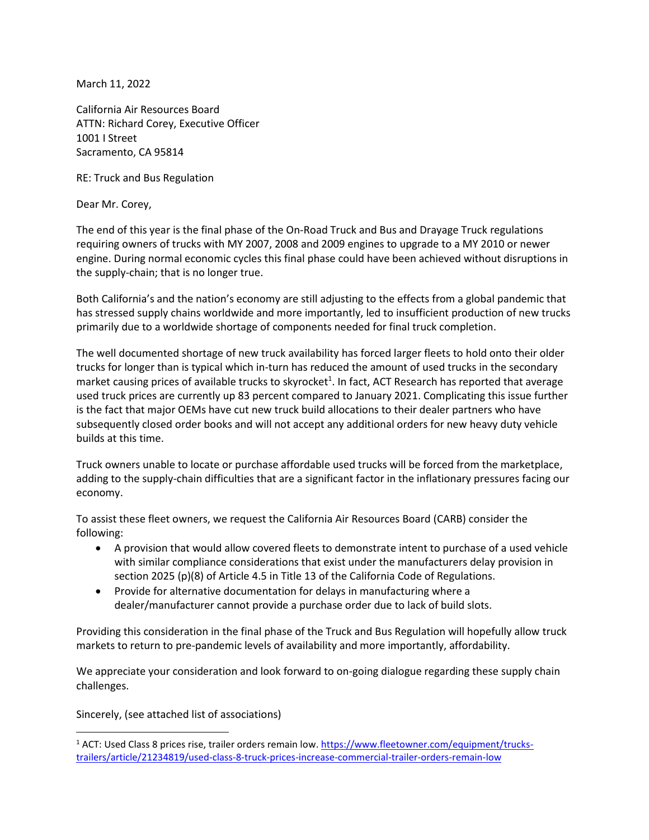March 11, 2022

California Air Resources Board ATTN: Richard Corey, Executive Officer 1001 I Street Sacramento, CA 95814

RE: Truck and Bus Regulation

Dear Mr. Corey,

The end of this year is the final phase of the On-Road Truck and Bus and Drayage Truck regulations requiring owners of trucks with MY 2007, 2008 and 2009 engines to upgrade to a MY 2010 or newer engine. During normal economic cycles this final phase could have been achieved without disruptions in the supply-chain; that is no longer true.

Both California's and the nation's economy are still adjusting to the effects from a global pandemic that has stressed supply chains worldwide and more importantly, led to insufficient production of new trucks primarily due to a worldwide shortage of components needed for final truck completion.

The well documented shortage of new truck availability has forced larger fleets to hold onto their older trucks for longer than is typical which in-turn has reduced the amount of used trucks in the secondary market causing prices of available trucks to skyrocket<sup>1</sup>. In fact, ACT Research has reported that average used truck prices are currently up 83 percent compared to January 2021. Complicating this issue further is the fact that major OEMs have cut new truck build allocations to their dealer partners who have subsequently closed order books and will not accept any additional orders for new heavy duty vehicle builds at this time.

Truck owners unable to locate or purchase affordable used trucks will be forced from the marketplace, adding to the supply-chain difficulties that are a significant factor in the inflationary pressures facing our economy.

To assist these fleet owners, we request the California Air Resources Board (CARB) consider the following:

- A provision that would allow covered fleets to demonstrate intent to purchase of a used vehicle with similar compliance considerations that exist under the manufacturers delay provision in section 2025 (p)(8) of Article 4.5 in Title 13 of the California Code of Regulations.
- Provide for alternative documentation for delays in manufacturing where a dealer/manufacturer cannot provide a purchase order due to lack of build slots.

Providing this consideration in the final phase of the Truck and Bus Regulation will hopefully allow truck markets to return to pre-pandemic levels of availability and more importantly, affordability.

We appreciate your consideration and look forward to on-going dialogue regarding these supply chain challenges.

Sincerely, (see attached list of associations)

<sup>&</sup>lt;sup>1</sup> ACT: Used Class 8 prices rise, trailer orders remain low. [https://www.fleetowner.com/equipment/trucks](https://www.fleetowner.com/equipment/trucks-trailers/article/21234819/used-class-8-truck-prices-increase-commercial-trailer-orders-remain-low)[trailers/article/21234819/used-class-8-truck-prices-increase-commercial-trailer-orders-remain-low](https://www.fleetowner.com/equipment/trucks-trailers/article/21234819/used-class-8-truck-prices-increase-commercial-trailer-orders-remain-low)